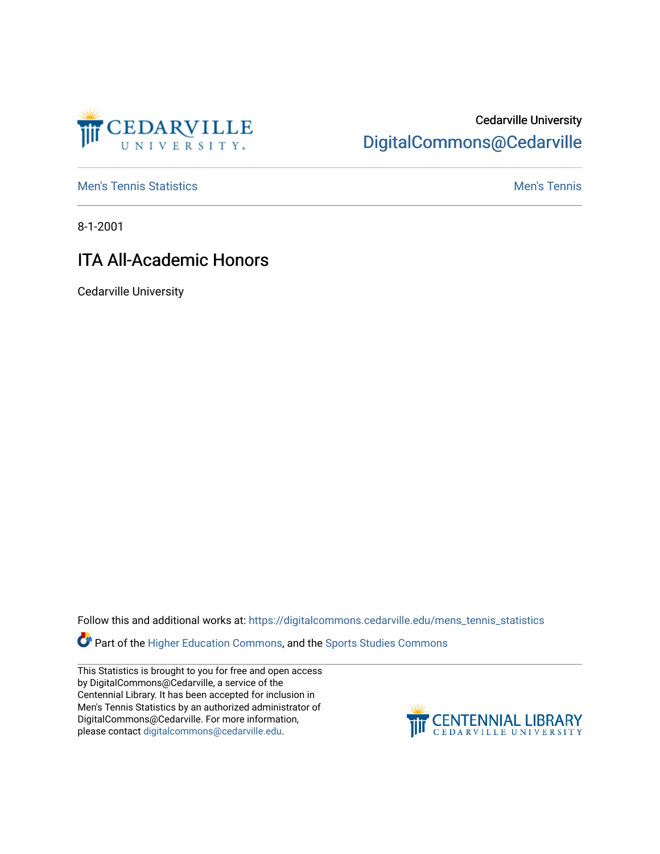

## Cedarville University [DigitalCommons@Cedarville](https://digitalcommons.cedarville.edu/)

**[Men's Tennis Statistics](https://digitalcommons.cedarville.edu/mens_tennis_statistics) Mental According to the Control of Control According Mental Men's Tennis** 

8-1-2001

## ITA All-Academic Honors

Cedarville University

Follow this and additional works at: [https://digitalcommons.cedarville.edu/mens\\_tennis\\_statistics](https://digitalcommons.cedarville.edu/mens_tennis_statistics?utm_source=digitalcommons.cedarville.edu%2Fmens_tennis_statistics%2F493&utm_medium=PDF&utm_campaign=PDFCoverPages)

Part of the [Higher Education Commons,](http://network.bepress.com/hgg/discipline/1245?utm_source=digitalcommons.cedarville.edu%2Fmens_tennis_statistics%2F493&utm_medium=PDF&utm_campaign=PDFCoverPages) and the [Sports Studies Commons](http://network.bepress.com/hgg/discipline/1198?utm_source=digitalcommons.cedarville.edu%2Fmens_tennis_statistics%2F493&utm_medium=PDF&utm_campaign=PDFCoverPages) 

This Statistics is brought to you for free and open access by DigitalCommons@Cedarville, a service of the Centennial Library. It has been accepted for inclusion in Men's Tennis Statistics by an authorized administrator of DigitalCommons@Cedarville. For more information, please contact [digitalcommons@cedarville.edu](mailto:digitalcommons@cedarville.edu).